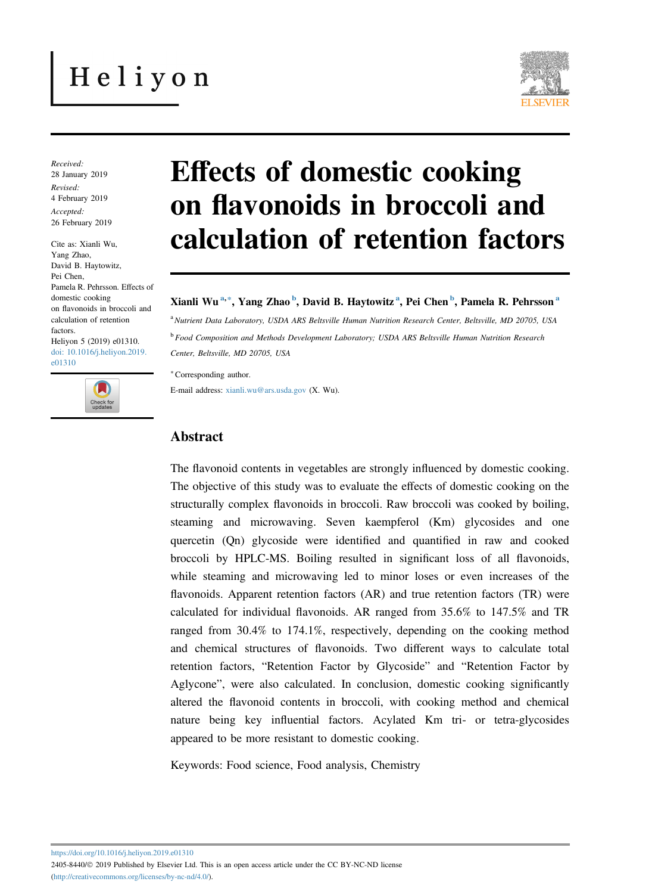# Heliyon



Received: 28 January 2019 Revised: 4 February 2019 Accepted: 26 February 2019

Cite as: Xianli Wu, Yang Zhao, David B. Haytowitz, Pei Chen, Pamela R. Pehrsson. Effects of domestic cooking on flavonoids in broccoli and calculation of retention factors. Heliyon 5 (2019) e01310. [doi: 10.1016/j.heliyon.2019.](https://doi.org/10.1016/j.heliyon.2019.e01310) [e01310](https://doi.org/10.1016/j.heliyon.2019.e01310)



# Effects of domestic cooking on flavonoids in broccoli and calculation of retention factors

#### Xianli Wu<sup>a,∗</sup>, Yang Zhao <sup>b</sup>, David B. Haytowitz<sup>a</sup>, Pei Chen <sup>b</sup>, Pamela R. Pehrsson <sup>a</sup>

a Nutrient Data Laboratory, USDA ARS Beltsville Human Nutrition Research Center, Beltsville, MD 20705, USA <sup>b</sup> Food Composition and Methods Development Laboratory; USDA ARS Beltsville Human Nutrition Research Center, Beltsville, MD 20705, USA

<sup>∗</sup>Corresponding author.

E-mail address: [xianli.wu@ars.usda.gov](mailto:xianli.wu@ars.usda.gov) (X. Wu).

### Abstract

The flavonoid contents in vegetables are strongly influenced by domestic cooking. The objective of this study was to evaluate the effects of domestic cooking on the structurally complex flavonoids in broccoli. Raw broccoli was cooked by boiling, steaming and microwaving. Seven kaempferol (Km) glycosides and one quercetin (Qn) glycoside were identified and quantified in raw and cooked broccoli by HPLC-MS. Boiling resulted in significant loss of all flavonoids, while steaming and microwaving led to minor loses or even increases of the flavonoids. Apparent retention factors (AR) and true retention factors (TR) were calculated for individual flavonoids. AR ranged from 35.6% to 147.5% and TR ranged from 30.4% to 174.1%, respectively, depending on the cooking method and chemical structures of flavonoids. Two different ways to calculate total retention factors, "Retention Factor by Glycoside" and "Retention Factor by retention factors, "Retention Factor by Glycoside" and "Retention Factor by Aglycone", were also calculated. In conclusion, domestic cooking significantly altered the flavonoid contents in broccoli, with cooking method and chemical nature being key influential factors. Acylated Km tri- or tetra-glycosides appeared to be more resistant to domestic cooking.

Keywords: Food science, Food analysis, Chemistry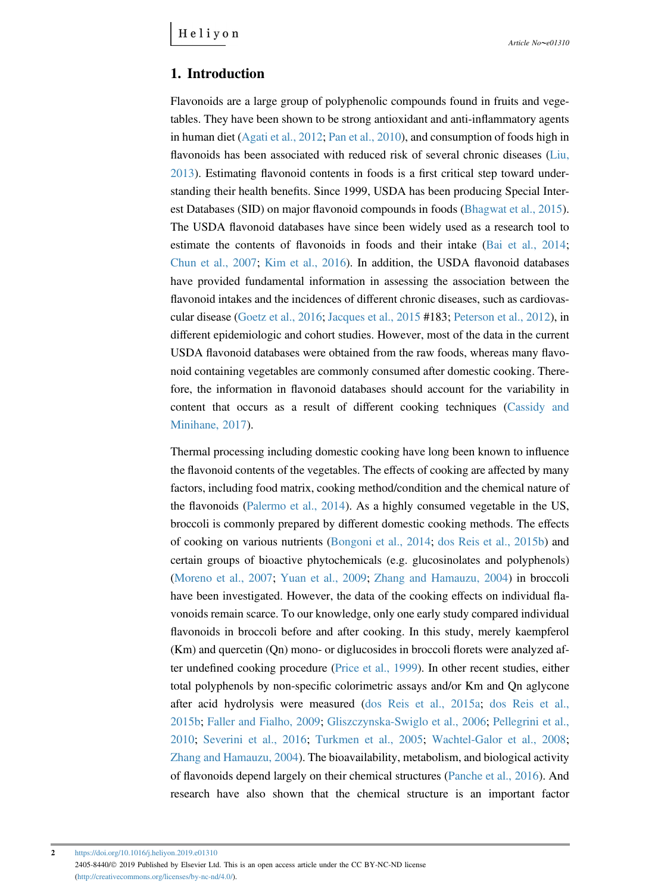#### 1. Introduction

Flavonoids are a large group of polyphenolic compounds found in fruits and vegetables. They have been shown to be strong antioxidant and anti-inflammatory agents in human diet ([Agati et al., 2012](#page-12-0); [Pan et al., 2010\)](#page-14-0), and consumption of foods high in flavonoids has been associated with reduced risk of several chronic diseases [\(Liu,](#page-13-0) [2013\)](#page-13-0). Estimating flavonoid contents in foods is a first critical step toward understanding their health benefits. Since 1999, USDA has been producing Special Interest Databases (SID) on major flavonoid compounds in foods [\(Bhagwat et al., 2015\)](#page-12-0). The USDA flavonoid databases have since been widely used as a research tool to estimate the contents of flavonoids in foods and their intake [\(Bai et al., 2014;](#page-12-0) [Chun et al., 2007;](#page-12-0) [Kim et al., 2016\)](#page-13-0). In addition, the USDA flavonoid databases have provided fundamental information in assessing the association between the flavonoid intakes and the incidences of different chronic diseases, such as cardiovascular disease ([Goetz et al., 2016;](#page-13-0) [Jacques et al., 2015](#page-13-0) #183; [Peterson et al., 2012\)](#page-14-0), in different epidemiologic and cohort studies. However, most of the data in the current USDA flavonoid databases were obtained from the raw foods, whereas many flavonoid containing vegetables are commonly consumed after domestic cooking. Therefore, the information in flavonoid databases should account for the variability in content that occurs as a result of different cooking techniques ([Cassidy and](#page-12-0) [Minihane, 2017](#page-12-0)).

Thermal processing including domestic cooking have long been known to influence the flavonoid contents of the vegetables. The effects of cooking are affected by many factors, including food matrix, cooking method/condition and the chemical nature of the flavonoids [\(Palermo et al., 2014](#page-14-0)). As a highly consumed vegetable in the US, broccoli is commonly prepared by different domestic cooking methods. The effects of cooking on various nutrients ([Bongoni et al., 2014](#page-12-0); [dos Reis et al., 2015b\)](#page-13-0) and certain groups of bioactive phytochemicals (e.g. glucosinolates and polyphenols) ([Moreno et al., 2007;](#page-14-0) [Yuan et al., 2009;](#page-15-0) [Zhang and Hamauzu, 2004\)](#page-15-0) in broccoli have been investigated. However, the data of the cooking effects on individual flavonoids remain scarce. To our knowledge, only one early study compared individual flavonoids in broccoli before and after cooking. In this study, merely kaempferol (Km) and quercetin (Qn) mono- or diglucosides in broccoli florets were analyzed after undefined cooking procedure ([Price et al., 1999](#page-14-0)). In other recent studies, either total polyphenols by non-specific colorimetric assays and/or Km and Qn aglycone after acid hydrolysis were measured ([dos Reis et al., 2015a](#page-12-0); [dos Reis et al.,](#page-13-0) [2015b;](#page-13-0) [Faller and Fialho, 2009](#page-13-0); [Gliszczynska-Swiglo et al., 2006](#page-13-0); [Pellegrini et al.,](#page-14-0) [2010;](#page-14-0) [Severini et al., 2016](#page-15-0); [Turkmen et al., 2005;](#page-15-0) [Wachtel-Galor et al., 2008;](#page-15-0) [Zhang and Hamauzu, 2004](#page-15-0)). The bioavailability, metabolism, and biological activity of flavonoids depend largely on their chemical structures ([Panche et al., 2016\)](#page-14-0). And research have also shown that the chemical structure is an important factor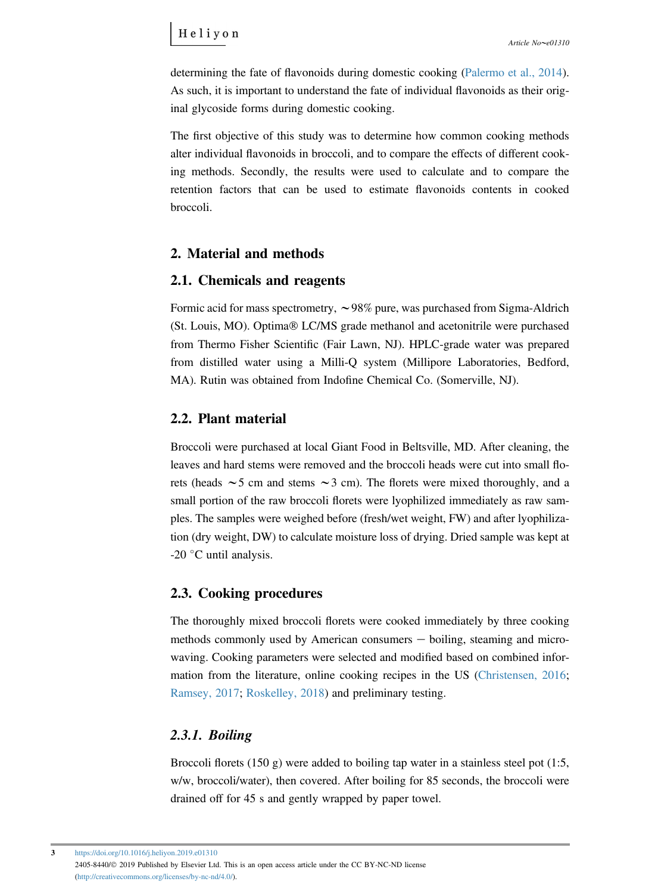determining the fate of flavonoids during domestic cooking ([Palermo et al., 2014\)](#page-14-0). As such, it is important to understand the fate of individual flavonoids as their original glycoside forms during domestic cooking.

The first objective of this study was to determine how common cooking methods alter individual flavonoids in broccoli, and to compare the effects of different cooking methods. Secondly, the results were used to calculate and to compare the retention factors that can be used to estimate flavonoids contents in cooked broccoli.

# 2. Material and methods

### 2.1. Chemicals and reagents

Formic acid for mass spectrometry,  $\sim$ 98% pure, was purchased from Sigma-Aldrich (St. Louis, MO). Optima® LC/MS grade methanol and acetonitrile were purchased from Thermo Fisher Scientific (Fair Lawn, NJ). HPLC-grade water was prepared from distilled water using a Milli-Q system (Millipore Laboratories, Bedford, MA). Rutin was obtained from Indofine Chemical Co. (Somerville, NJ).

# 2.2. Plant material

Broccoli were purchased at local Giant Food in Beltsville, MD. After cleaning, the leaves and hard stems were removed and the broccoli heads were cut into small florets (heads  $\sim$  5 cm and stems  $\sim$  3 cm). The florets were mixed thoroughly, and a small portion of the raw broccoli florets were lyophilized immediately as raw samples. The samples were weighed before (fresh/wet weight, FW) and after lyophilization (dry weight, DW) to calculate moisture loss of drying. Dried sample was kept at -20 $\degree$ C until analysis.

### 2.3. Cooking procedures

The thoroughly mixed broccoli florets were cooked immediately by three cooking methods commonly used by American consumers  $-$  boiling, steaming and microwaving. Cooking parameters were selected and modified based on combined information from the literature, online cooking recipes in the US ([Christensen, 2016;](#page-12-0) [Ramsey, 2017](#page-14-0); [Roskelley, 2018\)](#page-14-0) and preliminary testing.

# 2.3.1. Boiling

Broccoli florets (150 g) were added to boiling tap water in a stainless steel pot (1:5, w/w, broccoli/water), then covered. After boiling for 85 seconds, the broccoli were drained off for 45 s and gently wrapped by paper towel.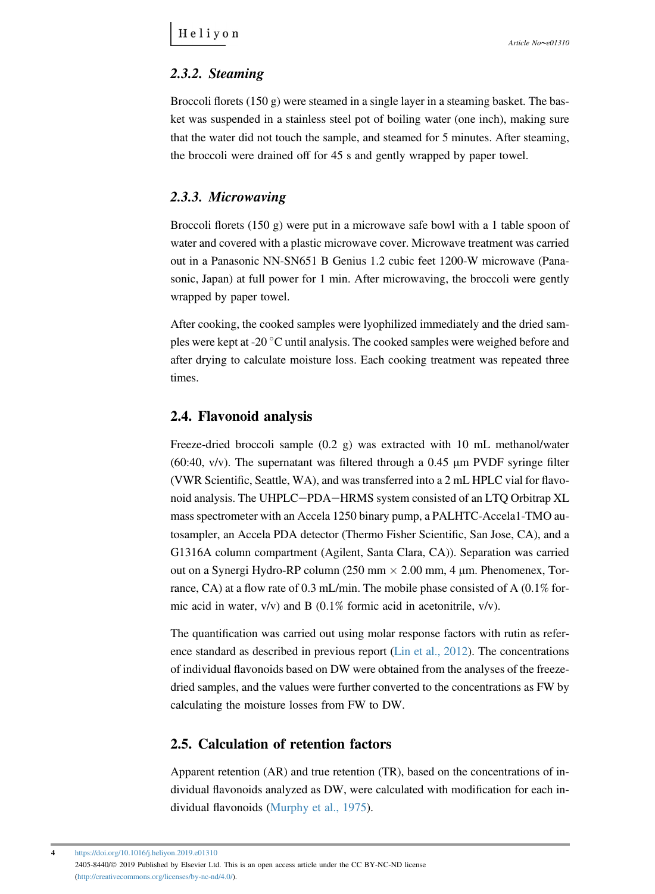## 2.3.2. Steaming

Broccoli florets  $(150 g)$  were steamed in a single layer in a steaming basket. The basket was suspended in a stainless steel pot of boiling water (one inch), making sure that the water did not touch the sample, and steamed for 5 minutes. After steaming, the broccoli were drained off for 45 s and gently wrapped by paper towel.

# 2.3.3. Microwaving

Broccoli florets (150 g) were put in a microwave safe bowl with a 1 table spoon of water and covered with a plastic microwave cover. Microwave treatment was carried out in a Panasonic NN-SN651 B Genius 1.2 cubic feet 1200-W microwave (Panasonic, Japan) at full power for 1 min. After microwaving, the broccoli were gently wrapped by paper towel.

After cooking, the cooked samples were lyophilized immediately and the dried samples were kept at -20  $\degree$ C until analysis. The cooked samples were weighed before and after drying to calculate moisture loss. Each cooking treatment was repeated three times.

### 2.4. Flavonoid analysis

Freeze-dried broccoli sample (0.2 g) was extracted with 10 mL methanol/water (60:40,  $v/v$ ). The supernatant was filtered through a 0.45  $\mu$ m PVDF syringe filter (VWR Scientific, Seattle, WA), and was transferred into a 2 mL HPLC vial for flavonoid analysis. The UHPLC-PDA-HRMS system consisted of an LTQ Orbitrap XL mass spectrometer with an Accela 1250 binary pump, a PALHTC-Accela1-TMO autosampler, an Accela PDA detector (Thermo Fisher Scientific, San Jose, CA), and a G1316A column compartment (Agilent, Santa Clara, CA)). Separation was carried out on a Synergi Hydro-RP column (250 mm  $\times$  2.00 mm, 4 µm. Phenomenex, Torrance, CA) at a flow rate of 0.3 mL/min. The mobile phase consisted of A (0.1% formic acid in water, v/v) and B (0.1% formic acid in acetonitrile, v/v).

The quantification was carried out using molar response factors with rutin as reference standard as described in previous report ([Lin et al., 2012](#page-13-0)). The concentrations of individual flavonoids based on DW were obtained from the analyses of the freezedried samples, and the values were further converted to the concentrations as FW by calculating the moisture losses from FW to DW.

### 2.5. Calculation of retention factors

Apparent retention (AR) and true retention (TR), based on the concentrations of individual flavonoids analyzed as DW, were calculated with modification for each individual flavonoids ([Murphy et al., 1975\)](#page-14-0).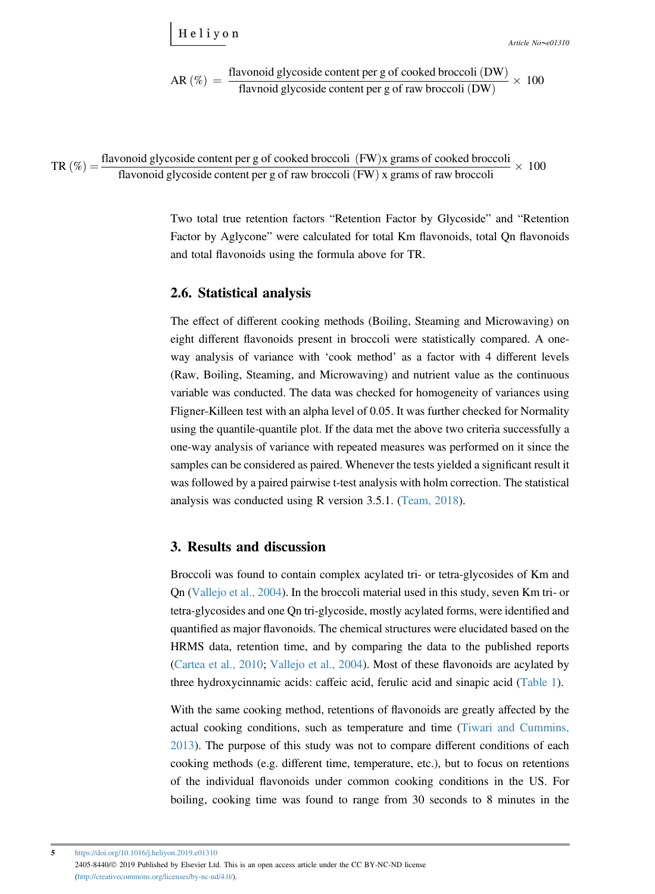Helivon

Article  $No \sim e 01310$ 

AR (
$$
\%
$$
) =  $\frac{\text{flavonoid glycoside content per g of cooled broccoli (DW)}}{\text{flavnoid glycoside content per g of raw broccoli (DW)}} \times 100$ 

TR  $(\%) = \frac{\text{flavonoid glycoside content per g of cooled broccoli (FW)}{FW}$  grams of cooked broccoli flavonoid glycoside content per g of raw broccoli  $(FW)$  x grams of raw broccoli  $\times$  100

> Two total true retention factors "Retention Factor by Glycoside" and "Retention Factor by Aglycone" were calculated for total Km flavonoids, total Qn flavonoids and total flavonoids using the formula above for TR.

#### 2.6. Statistical analysis

The effect of different cooking methods (Boiling, Steaming and Microwaving) on eight different flavonoids present in broccoli were statistically compared. A oneway analysis of variance with 'cook method' as a factor with 4 different levels (Raw, Boiling, Steaming, and Microwaving) and nutrient value as the continuous variable was conducted. The data was checked for homogeneity of variances using Fligner-Killeen test with an alpha level of 0.05. It was further checked for Normality using the quantile-quantile plot. If the data met the above two criteria successfully a one-way analysis of variance with repeated measures was performed on it since the samples can be considered as paired. Whenever the tests yielded a significant result it was followed by a paired pairwise t-test analysis with holm correction. The statistical analysis was conducted using R version 3.5.1. ([Team, 2018](#page-14-0)).

#### 3. Results and discussion

Broccoli was found to contain complex acylated tri- or tetra-glycosides of Km and Qn [\(Vallejo et al., 2004](#page-15-0)). In the broccoli material used in this study, seven Km tri- or tetra-glycosides and one Qn tri-glycoside, mostly acylated forms, were identified and quantified as major flavonoids. The chemical structures were elucidated based on the HRMS data, retention time, and by comparing the data to the published reports ([Cartea et al., 2010;](#page-12-0) [Vallejo et al., 2004\)](#page-15-0). Most of these flavonoids are acylated by three hydroxycinnamic acids: caffeic acid, ferulic acid and sinapic acid ([Table 1](#page-5-0)).

With the same cooking method, retentions of flavonoids are greatly affected by the actual cooking conditions, such as temperature and time [\(Tiwari and Cummins,](#page-15-0) [2013\)](#page-15-0). The purpose of this study was not to compare different conditions of each cooking methods (e.g. different time, temperature, etc.), but to focus on retentions of the individual flavonoids under common cooking conditions in the US. For boiling, cooking time was found to range from 30 seconds to 8 minutes in the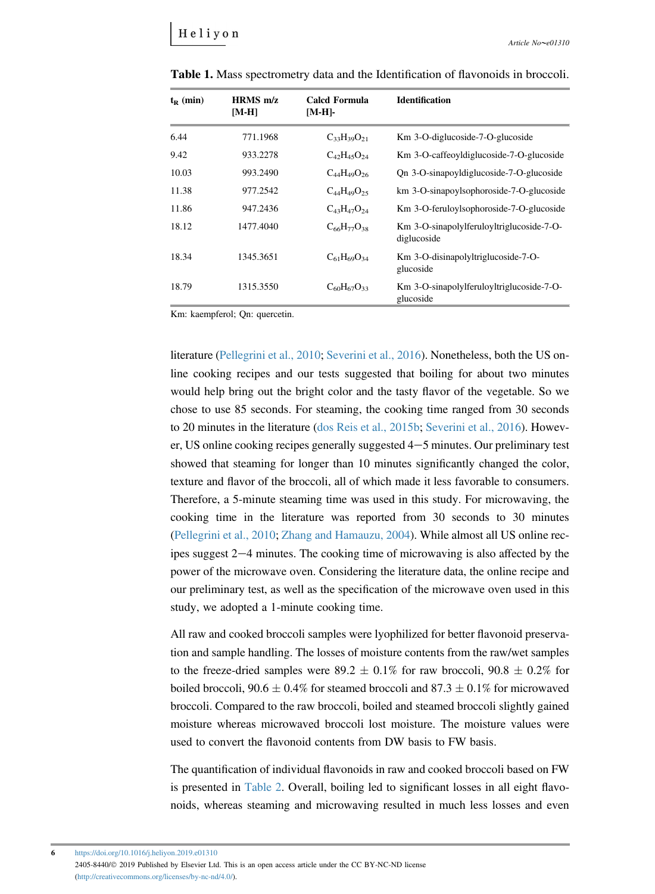| $t_{R}$ (min) | $HRMS$ m/z<br>[M-H] | <b>Calcd Formula</b><br>$[M-H]$ - | <b>Identification</b>                                    |
|---------------|---------------------|-----------------------------------|----------------------------------------------------------|
| 6.44          | 771.1968            | $C_{33}H_{39}O_{21}$              | Km 3-O-diglucoside-7-O-glucoside                         |
| 9.42          | 933.2278            | $C_{42}H_{45}O_{24}$              | Km 3-O-caffeoyldiglucoside-7-O-glucoside                 |
| 10.03         | 993.2490            | $C_{44}H_{49}O_{26}$              | Qn 3-O-sinapoyldiglucoside-7-O-glucoside                 |
| 11.38         | 977.2542            | $C_{44}H_{49}O_{25}$              | km 3-O-sinapoylsophoroside-7-O-glucoside                 |
| 11.86         | 947.2436            | $C_{43}H_{47}O_{24}$              | Km 3-O-feruloylsophoroside-7-O-glucoside                 |
| 18.12         | 1477.4040           | $C_{66}H_{77}O_{38}$              | Km 3-O-sinapolylferuloyltriglucoside-7-O-<br>diglucoside |
| 18.34         | 1345.3651           | $C_{61}H_{69}O_{34}$              | Km 3-O-disinapolyltriglucoside-7-O-<br>glucoside         |
| 18.79         | 1315.3550           | $C_{60}H_{67}O_{33}$              | Km 3-O-sinapolylferuloyltriglucoside-7-O-<br>glucoside   |

<span id="page-5-0"></span>Table 1. Mass spectrometry data and the Identification of flavonoids in broccoli.

Km: kaempferol; Qn: quercetin.

literature ([Pellegrini et al., 2010;](#page-14-0) [Severini et al., 2016](#page-15-0)). Nonetheless, both the US online cooking recipes and our tests suggested that boiling for about two minutes would help bring out the bright color and the tasty flavor of the vegetable. So we chose to use 85 seconds. For steaming, the cooking time ranged from 30 seconds to 20 minutes in the literature ([dos Reis et al., 2015b;](#page-13-0) [Severini et al., 2016](#page-15-0)). However, US online cooking recipes generally suggested  $4-5$  minutes. Our preliminary test showed that steaming for longer than 10 minutes significantly changed the color, texture and flavor of the broccoli, all of which made it less favorable to consumers. Therefore, a 5-minute steaming time was used in this study. For microwaving, the cooking time in the literature was reported from 30 seconds to 30 minutes ([Pellegrini et al., 2010](#page-14-0); [Zhang and Hamauzu, 2004](#page-15-0)). While almost all US online recipes suggest  $2-4$  minutes. The cooking time of microwaving is also affected by the power of the microwave oven. Considering the literature data, the online recipe and our preliminary test, as well as the specification of the microwave oven used in this study, we adopted a 1-minute cooking time.

All raw and cooked broccoli samples were lyophilized for better flavonoid preservation and sample handling. The losses of moisture contents from the raw/wet samples to the freeze-dried samples were 89.2  $\pm$  0.1% for raw broccoli, 90.8  $\pm$  0.2% for boiled broccoli,  $90.6 \pm 0.4\%$  for steamed broccoli and  $87.3 \pm 0.1\%$  for microwaved broccoli. Compared to the raw broccoli, boiled and steamed broccoli slightly gained moisture whereas microwaved broccoli lost moisture. The moisture values were used to convert the flavonoid contents from DW basis to FW basis.

The quantification of individual flavonoids in raw and cooked broccoli based on FW is presented in [Table 2](#page-6-0). Overall, boiling led to significant losses in all eight flavonoids, whereas steaming and microwaving resulted in much less losses and even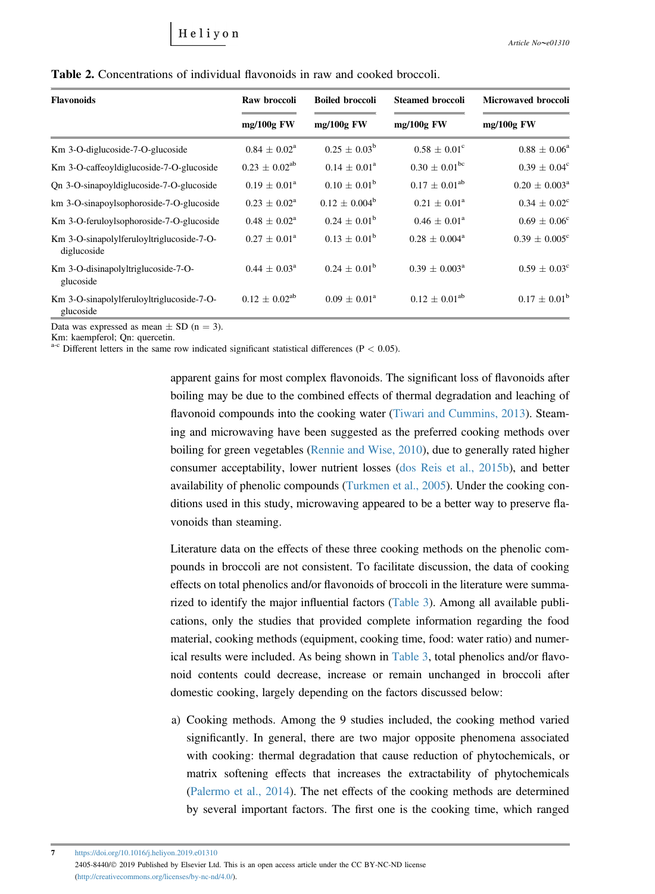<span id="page-6-0"></span>

| <b>Table 2.</b> Concentrations of individual flavonoids in raw and cooked broccoli. |  |  |
|-------------------------------------------------------------------------------------|--|--|
|                                                                                     |  |  |

| <b>Flavonoids</b>                                        | Raw broccoli               | <b>Boiled broccoli</b>  | <b>Steamed broccoli</b>     | <b>Microwaved broccoli</b>  |  |
|----------------------------------------------------------|----------------------------|-------------------------|-----------------------------|-----------------------------|--|
|                                                          | $mg/100g$ FW               | $mg/100g$ FW            | $mg/100g$ FW                | $mg/100g$ FW                |  |
| Km 3-O-diglucoside-7-O-glucoside                         | $0.84 \pm 0.02^{\rm a}$    | $0.25 \pm 0.03^{\rm b}$ | $0.58 \pm 0.01^{\circ}$     | $0.88 \pm 0.06^a$           |  |
| Km 3-O-caffeoyldiglucoside-7-O-glucoside                 | $0.23 \pm 0.02^{ab}$       | $0.14 \pm 0.01^a$       | $0.30 \pm 0.01^{\rm bc}$    | $0.39 \pm 0.04^{\circ}$     |  |
| Qn 3-O-sinapoyldiglucoside-7-O-glucoside                 | $0.19 + 0.01^a$            | $0.10 + 0.01^{\rm b}$   | $0.17 \pm 0.01^{ab}$        | $0.20 \pm 0.003^{\text{a}}$ |  |
| km 3-O-sinapoylsophoroside-7-O-glucoside                 | $0.23 \pm 0.02^{\text{a}}$ | $0.12 + 0.004^b$        | $0.21 \pm 0.01^a$           | $0.34 \pm 0.02^{\circ}$     |  |
| Km 3-O-feruloylsophoroside-7-O-glucoside                 | $0.48 \pm 0.02^{\text{a}}$ | $0.24 \pm 0.01^{\rm b}$ | $0.46 \pm 0.01^{\rm a}$     | $0.69 \pm 0.06^{\circ}$     |  |
| Km 3-O-sinapolylferuloyltriglucoside-7-O-<br>diglucoside | $0.27 \pm 0.01^a$          | $0.13 \pm 0.01^{\rm b}$ | $0.28 \pm 0.004^{\rm a}$    | $0.39 \pm 0.005^{\circ}$    |  |
| Km 3-O-disinapolyltriglucoside-7-O-<br>glucoside         | $0.44 \pm 0.03^{\text{a}}$ | $0.24 \pm 0.01^{\rm b}$ | $0.39 \pm 0.003^{\text{a}}$ | $0.59 \pm 0.03^{\circ}$     |  |
| Km 3-O-sinapolylferuloyltriglucoside-7-O-<br>glucoside   | $0.12 + 0.02^{ab}$         | $0.09 \pm 0.01^{\circ}$ | $0.12 \pm 0.01^{ab}$        | $0.17 \pm 0.01^{\rm b}$     |  |

Data was expressed as mean  $\pm$  SD (n = 3).

Km: kaempferol; Qn: quercetin.

 $a-c$  Different letters in the same row indicated significant statistical differences (P  $< 0.05$ ).

apparent gains for most complex flavonoids. The significant loss of flavonoids after boiling may be due to the combined effects of thermal degradation and leaching of flavonoid compounds into the cooking water ([Tiwari and Cummins, 2013\)](#page-15-0). Steaming and microwaving have been suggested as the preferred cooking methods over boiling for green vegetables [\(Rennie and Wise, 2010](#page-14-0)), due to generally rated higher consumer acceptability, lower nutrient losses [\(dos Reis et al., 2015b](#page-13-0)), and better availability of phenolic compounds ([Turkmen et al., 2005\)](#page-15-0). Under the cooking conditions used in this study, microwaving appeared to be a better way to preserve flavonoids than steaming.

Literature data on the effects of these three cooking methods on the phenolic compounds in broccoli are not consistent. To facilitate discussion, the data of cooking effects on total phenolics and/or flavonoids of broccoli in the literature were summarized to identify the major influential factors [\(Table 3\)](#page-7-0). Among all available publications, only the studies that provided complete information regarding the food material, cooking methods (equipment, cooking time, food: water ratio) and numerical results were included. As being shown in [Table 3](#page-7-0), total phenolics and/or flavonoid contents could decrease, increase or remain unchanged in broccoli after domestic cooking, largely depending on the factors discussed below:

a) Cooking methods. Among the 9 studies included, the cooking method varied significantly. In general, there are two major opposite phenomena associated with cooking: thermal degradation that cause reduction of phytochemicals, or matrix softening effects that increases the extractability of phytochemicals [\(Palermo et al., 2014\)](#page-14-0). The net effects of the cooking methods are determined by several important factors. The first one is the cooking time, which ranged

7 <https://doi.org/10.1016/j.heliyon.2019.e01310> 2405-8440/© 2019 Published by Elsevier Ltd. This is an open access article under the CC BY-NC-ND license [\(http://creativecommons.org/licenses/by-nc-nd/4.0/](http://creativecommons.org/licenses/by-nc-nd/4.0/)).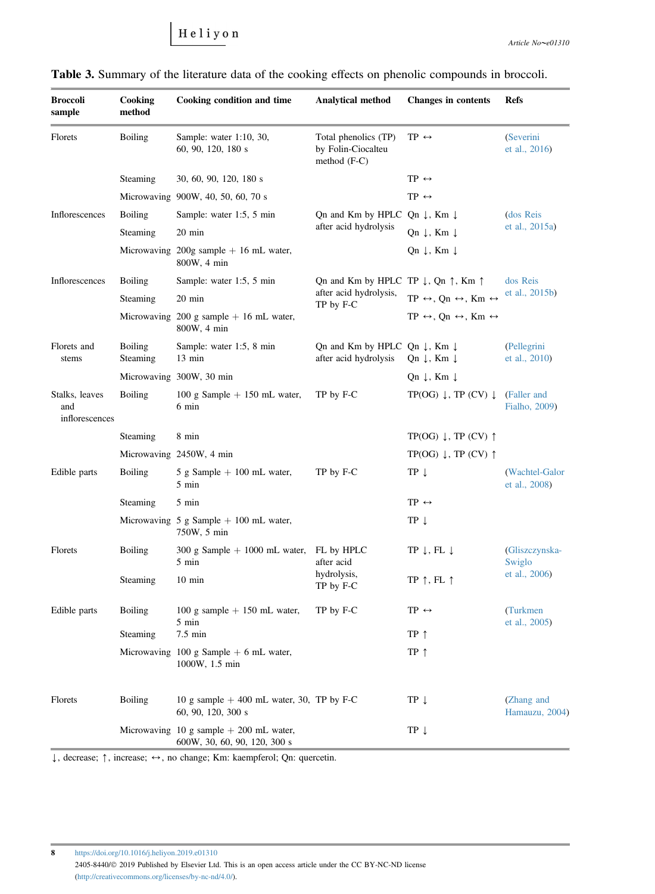Heliyon

| <b>Broccoli</b><br>sample               | Cooking<br>method          | Cooking condition and time                                                | <b>Analytical method</b>                                                     | <b>Changes in contents</b>                                         | Refs                            |  |
|-----------------------------------------|----------------------------|---------------------------------------------------------------------------|------------------------------------------------------------------------------|--------------------------------------------------------------------|---------------------------------|--|
| Florets                                 | <b>Boiling</b>             | Sample: water 1:10, 30,<br>60, 90, 120, 180 s                             | Total phenolics (TP)<br>by Folin-Ciocalteu<br>method $(F-C)$                 | TP $\leftrightarrow$                                               | (Severini<br>et al., 2016)      |  |
|                                         | Steaming                   | 30, 60, 90, 120, 180 s                                                    |                                                                              | $TP \leftrightarrow$                                               |                                 |  |
|                                         |                            | Microwaving 900W, 40, 50, 60, 70 s                                        |                                                                              | $TP \leftrightarrow$                                               |                                 |  |
| Inflorescences                          | <b>Boiling</b>             | Sample: water 1:5, 5 min                                                  | Qn and Km by HPLC Qn $\downarrow$ , Km $\downarrow$                          |                                                                    | (dos Reis                       |  |
|                                         | Steaming                   | 20 min                                                                    | after acid hydrolysis                                                        | Qn ↓, Km ↓                                                         | et al., 2015a)                  |  |
|                                         |                            | Microwaving 200g sample $+$ 16 mL water,<br>800W, 4 min                   |                                                                              | Qn $\downarrow$ , Km $\downarrow$                                  |                                 |  |
| Inflorescences                          | <b>Boiling</b>             | Sample: water 1:5, 5 min                                                  | Qn and Km by HPLC TP $\downarrow$ , Qn $\uparrow$ , Km $\uparrow$            |                                                                    | dos Reis                        |  |
|                                         | Steaming                   | $20 \text{ min}$                                                          | after acid hydrolysis,<br>TP by F-C                                          | $TP \leftrightarrow Qn \leftrightarrow Km \leftrightarrow$         | et al., 2015b)                  |  |
|                                         |                            | Microwaving 200 g sample $+$ 16 mL water,<br>800W, 4 min                  |                                                                              | $TP \leftrightarrow$ , Qn $\leftrightarrow$ , Km $\leftrightarrow$ |                                 |  |
| Florets and<br>stems                    | <b>Boiling</b><br>Steaming | Sample: water 1:5, 8 min<br>$13 \text{ min}$                              | Qn and Km by HPLC Qn $\downarrow$ , Km $\downarrow$<br>after acid hydrolysis | Qn ↓, Km ↓                                                         | (Pellegrini<br>et al., 2010)    |  |
|                                         |                            | Microwaving 300W, 30 min                                                  |                                                                              | Qn $\downarrow$ , Km $\downarrow$                                  |                                 |  |
| Stalks, leaves<br>and<br>inflorescences | Boiling                    | 100 g Sample $+$ 150 mL water,<br>6 min                                   | TP by F-C                                                                    | TP(OG) $\downarrow$ , TP (CV) $\downarrow$                         | (Faller and<br>Fialho, 2009)    |  |
|                                         | Steaming                   | 8 min                                                                     |                                                                              | TP(OG) $\downarrow$ , TP (CV) $\uparrow$                           |                                 |  |
|                                         |                            | Microwaving 2450W, 4 min                                                  |                                                                              | TP(OG) $\downarrow$ , TP (CV) $\uparrow$                           |                                 |  |
| Edible parts                            | <b>Boiling</b>             | 5 g Sample $+$ 100 mL water,<br>5 min                                     | TP by F-C                                                                    | TP Į                                                               | (Wachtel-Galor<br>et al., 2008) |  |
|                                         | Steaming                   | 5 min                                                                     |                                                                              | $TP \leftrightarrow$                                               |                                 |  |
|                                         |                            | Microwaving 5 g Sample $+$ 100 mL water,<br>750W, 5 min                   |                                                                              | $TP \downarrow$                                                    |                                 |  |
| Florets                                 | <b>Boiling</b>             | $300 \text{ g Sample} + 1000 \text{ mL water}$ ,<br>5 min                 | FL by HPLC<br>after acid                                                     | TP $\downarrow$ , FL $\downarrow$                                  | (Gliszczynska-<br>Swiglo        |  |
|                                         | Steaming                   | $10 \text{ min}$                                                          | hydrolysis,<br>TP by F-C                                                     | TP $\uparrow$ , FL $\uparrow$                                      | et al., 2006)                   |  |
| Edible parts                            | <b>Boiling</b>             | 100 g sample $+$ 150 mL water,<br>5 min                                   | TP by F-C                                                                    | $TP \leftrightarrow$                                               | (Turkmen<br>et al., 2005)       |  |
|                                         | Steaming                   | 7.5 min                                                                   |                                                                              | TP 1                                                               |                                 |  |
|                                         |                            | Microwaving 100 g Sample $+$ 6 mL water,<br>1000W, 1.5 min                |                                                                              | TP $\uparrow$                                                      |                                 |  |
| Florets                                 | <b>Boiling</b>             | 10 g sample $+$ 400 mL water, 30, TP by F-C<br>60, 90, 120, 300 s         |                                                                              | $TP \downarrow$                                                    | (Zhang and<br>Hamauzu, 2004)    |  |
|                                         |                            | Microwaving 10 g sample $+$ 200 mL water,<br>600W, 30, 60, 90, 120, 300 s |                                                                              | $TP \downarrow$                                                    |                                 |  |

<span id="page-7-0"></span>Table 3. Summary of the literature data of the cooking effects on phenolic compounds in broccoli.

 $\downarrow$ , decrease;  $\uparrow$ , increase;  $\leftrightarrow$ , no change; Km: kaempferol; Qn: quercetin.

8 <https://doi.org/10.1016/j.heliyon.2019.e01310> 2405-8440/© 2019 Published by Elsevier Ltd. This is an open access article under the CC BY-NC-ND license [\(http://creativecommons.org/licenses/by-nc-nd/4.0/](http://creativecommons.org/licenses/by-nc-nd/4.0/)).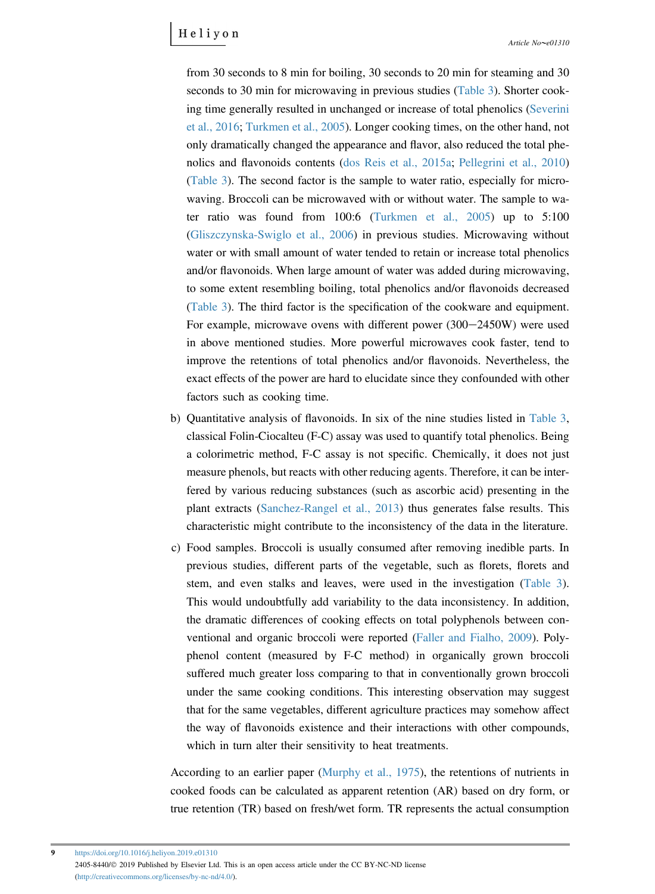from 30 seconds to 8 min for boiling, 30 seconds to 20 min for steaming and 30 seconds to 30 min for microwaving in previous studies [\(Table 3\)](#page-7-0). Shorter cooking time generally resulted in unchanged or increase of total phenolics ([Severini](#page-15-0) [et al., 2016](#page-15-0); [Turkmen et al., 2005\)](#page-15-0). Longer cooking times, on the other hand, not only dramatically changed the appearance and flavor, also reduced the total phenolics and flavonoids contents ([dos Reis et al., 2015a](#page-12-0); [Pellegrini et al., 2010](#page-14-0)) [\(Table 3](#page-7-0)). The second factor is the sample to water ratio, especially for microwaving. Broccoli can be microwaved with or without water. The sample to water ratio was found from 100:6 ([Turkmen et al., 2005\)](#page-15-0) up to 5:100 [\(Gliszczynska-Swiglo et al., 2006\)](#page-13-0) in previous studies. Microwaving without water or with small amount of water tended to retain or increase total phenolics and/or flavonoids. When large amount of water was added during microwaving, to some extent resembling boiling, total phenolics and/or flavonoids decreased [\(Table 3](#page-7-0)). The third factor is the specification of the cookware and equipment. For example, microwave ovens with different power  $(300-2450W)$  were used in above mentioned studies. More powerful microwaves cook faster, tend to improve the retentions of total phenolics and/or flavonoids. Nevertheless, the exact effects of the power are hard to elucidate since they confounded with other factors such as cooking time.

- b) Quantitative analysis of flavonoids. In six of the nine studies listed in [Table 3,](#page-7-0) classical Folin-Ciocalteu (F-C) assay was used to quantify total phenolics. Being a colorimetric method, F-C assay is not specific. Chemically, it does not just measure phenols, but reacts with other reducing agents. Therefore, it can be interfered by various reducing substances (such as ascorbic acid) presenting in the plant extracts ([Sanchez-Rangel et al., 2013](#page-14-0)) thus generates false results. This characteristic might contribute to the inconsistency of the data in the literature.
- c) Food samples. Broccoli is usually consumed after removing inedible parts. In previous studies, different parts of the vegetable, such as florets, florets and stem, and even stalks and leaves, were used in the investigation ([Table 3\)](#page-7-0). This would undoubtfully add variability to the data inconsistency. In addition, the dramatic differences of cooking effects on total polyphenols between conventional and organic broccoli were reported [\(Faller and Fialho, 2009](#page-13-0)). Polyphenol content (measured by F-C method) in organically grown broccoli suffered much greater loss comparing to that in conventionally grown broccoli under the same cooking conditions. This interesting observation may suggest that for the same vegetables, different agriculture practices may somehow affect the way of flavonoids existence and their interactions with other compounds, which in turn alter their sensitivity to heat treatments.

According to an earlier paper ([Murphy et al., 1975](#page-14-0)), the retentions of nutrients in cooked foods can be calculated as apparent retention (AR) based on dry form, or true retention (TR) based on fresh/wet form. TR represents the actual consumption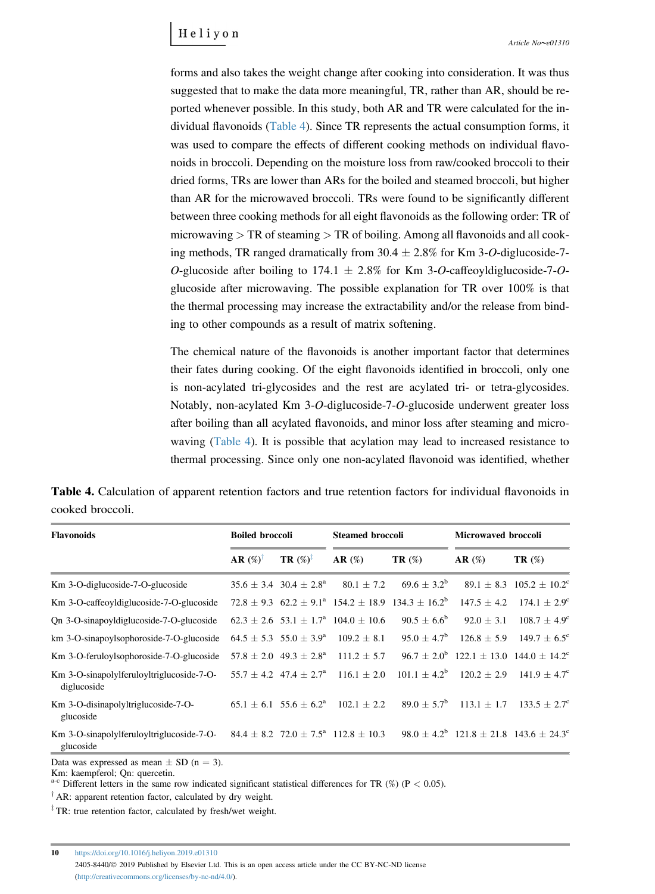<span id="page-9-0"></span>forms and also takes the weight change after cooking into consideration. It was thus suggested that to make the data more meaningful, TR, rather than AR, should be reported whenever possible. In this study, both AR and TR were calculated for the individual flavonoids (Table 4). Since TR represents the actual consumption forms, it was used to compare the effects of different cooking methods on individual flavonoids in broccoli. Depending on the moisture loss from raw/cooked broccoli to their dried forms, TRs are lower than ARs for the boiled and steamed broccoli, but higher than AR for the microwaved broccoli. TRs were found to be significantly different between three cooking methods for all eight flavonoids as the following order: TR of microwaving  $> TR$  of steaming  $> TR$  of boiling. Among all flavonoids and all cooking methods, TR ranged dramatically from  $30.4 \pm 2.8\%$  for Km 3-O-diglucoside-7-O-glucoside after boiling to 174.1  $\pm$  2.8% for Km 3-O-caffeoyldiglucoside-7-Oglucoside after microwaving. The possible explanation for TR over 100% is that the thermal processing may increase the extractability and/or the release from binding to other compounds as a result of matrix softening.

The chemical nature of the flavonoids is another important factor that determines their fates during cooking. Of the eight flavonoids identified in broccoli, only one is non-acylated tri-glycosides and the rest are acylated tri- or tetra-glycosides. Notably, non-acylated Km 3-O-diglucoside-7-O-glucoside underwent greater loss after boiling than all acylated flavonoids, and minor loss after steaming and microwaving (Table 4). It is possible that acylation may lead to increased resistance to thermal processing. Since only one non-acylated flavonoid was identified, whether

|                  | Table 4. Calculation of apparent retention factors and true retention factors for individual flavonoids in |  |  |  |  |  |  |
|------------------|------------------------------------------------------------------------------------------------------------|--|--|--|--|--|--|
| cooked broccoli. |                                                                                                            |  |  |  |  |  |  |

| <b>Flavonoids</b>                                        | <b>Boiled broccoli</b> |                                            | <b>Steamed broccoli</b>                                     |                                                                                           | <b>Microwaved broccoli</b>                                |                                         |  |
|----------------------------------------------------------|------------------------|--------------------------------------------|-------------------------------------------------------------|-------------------------------------------------------------------------------------------|-----------------------------------------------------------|-----------------------------------------|--|
|                                                          | $AR(\%)^{\dagger}$     | $TR(\%)^{\ddagger}$                        | AR(%)                                                       | $TR(\%)$                                                                                  | AR(%)                                                     | $TR(\%)$                                |  |
| Km 3-O-diglucoside-7-O-glucoside                         |                        | $35.6 \pm 3.4$ 30.4 $\pm 2.8^{\circ}$      | $80.1 \pm 7.2$                                              | $69.6 + 3.2^b$                                                                            |                                                           | $89.1 \pm 8.3$ $105.2 \pm 10.2^{\circ}$ |  |
| Km 3-O-caffeoyldiglucoside-7-O-glucoside                 |                        |                                            |                                                             | $72.8 \pm 9.3$ 62.2 $\pm$ 9.1 <sup>a</sup> 154.2 $\pm$ 18.9 134.3 $\pm$ 16.2 <sup>b</sup> | $147.5 + 4.2$                                             | $174.1 \pm 2.9^{\circ}$                 |  |
| On 3-O-sinapovidiglucoside-7-O-glucoside                 |                        |                                            | $62.3 \pm 2.6$ 53.1 $\pm$ 1.7 <sup>a</sup> 104.0 $\pm$ 10.6 | $90.5 \pm 6.6^{\rm b}$                                                                    | $92.0 \pm 3.1$                                            | $108.7 \pm 4.9^{\circ}$                 |  |
| km 3-O-sinapoylsophoroside-7-O-glucoside                 |                        | $64.5 \pm 5.3$ 55.0 $\pm 3.9^{\rm a}$      | $109.2 \pm 8.1$                                             | $95.0 \pm 4.7^{\rm b}$                                                                    | $126.8 \pm 5.9$                                           | $149.7 \pm 6.5^{\circ}$                 |  |
| Km 3-O-feruloylsophoroside-7-O-glucoside                 |                        | $57.8 \pm 2.0$ 49.3 $\pm 2.8^{\circ}$      | $111.2 \pm 5.7$                                             |                                                                                           | $96.7 \pm 2.0^{\circ}$ 122.1 $\pm$ 13.0 144.0 $\pm$ 14.2° |                                         |  |
| Km 3-O-sinapolylferuloyltriglucoside-7-O-<br>diglucoside |                        | $55.7 \pm 4.2$ 47.4 $\pm$ 2.7 <sup>a</sup> | $116.1 \pm 2.0$                                             | $101.1 + 4.2^b$                                                                           |                                                           | $120.2 \pm 2.9$ $141.9 \pm 4.7^{\circ}$ |  |
| Km 3-O-disinapolyltriglucoside-7-O-<br>glucoside         |                        | $65.1 \pm 6.1$ 55.6 $\pm$ 6.2 <sup>a</sup> | $102.1 \pm 2.2$                                             | $89.0 + 5.7^{\rm b}$                                                                      | $113.1 \pm 1.7$                                           | $133.5 \pm 2.7^{\circ}$                 |  |
| Km 3-O-sinapolylferuloyltriglucoside-7-O-<br>glucoside   |                        |                                            | $84.4 \pm 8.2$ 72.0 $\pm$ 7.5 <sup>a</sup> 112.8 $\pm$ 10.3 |                                                                                           | $98.0 \pm 4.2^{\rm b}$ 121.8 $\pm$ 21.8 143.6 $\pm$ 24.3° |                                         |  |

Data was expressed as mean  $\pm$  SD (n = 3).

Km: kaempferol; Qn: quercetin.

<sup>a-c</sup> Different letters in the same row indicated significant statistical differences for TR (%) (P < 0.05).

 $^{\dagger}$  AR: apparent retention factor, calculated by dry weight.

<sup> $\ddagger$ </sup>TR: true retention factor, calculated by fresh/wet weight.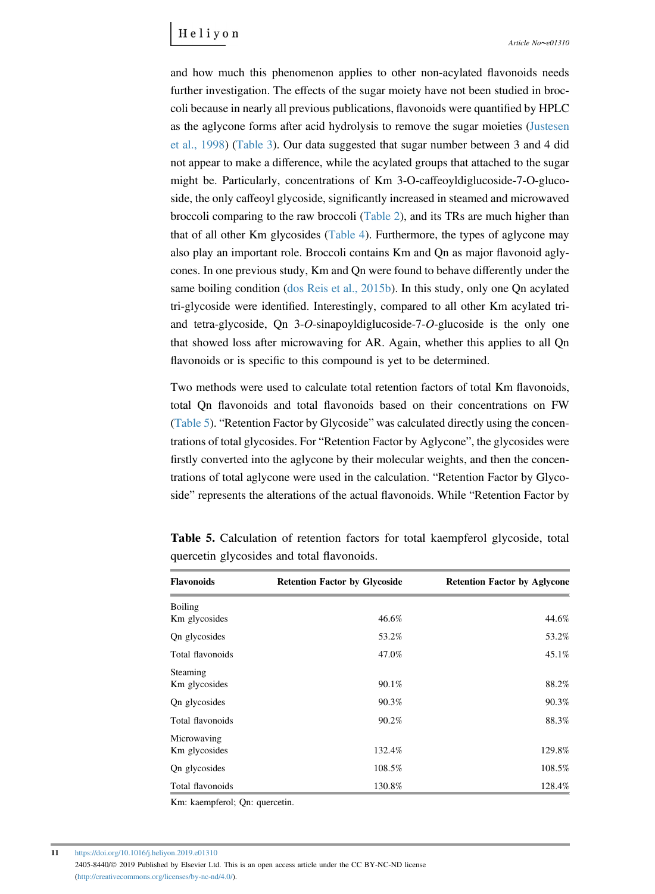and how much this phenomenon applies to other non-acylated flavonoids needs further investigation. The effects of the sugar moiety have not been studied in broccoli because in nearly all previous publications, flavonoids were quantified by HPLC as the aglycone forms after acid hydrolysis to remove the sugar moieties ([Justesen](#page-13-0) [et al., 1998\)](#page-13-0) [\(Table 3\)](#page-7-0). Our data suggested that sugar number between 3 and 4 did not appear to make a difference, while the acylated groups that attached to the sugar might be. Particularly, concentrations of Km 3-O-caffeoyldiglucoside-7-O-glucoside, the only caffeoyl glycoside, significantly increased in steamed and microwaved broccoli comparing to the raw broccoli [\(Table 2\)](#page-6-0), and its TRs are much higher than that of all other Km glycosides [\(Table 4\)](#page-9-0). Furthermore, the types of aglycone may also play an important role. Broccoli contains Km and Qn as major flavonoid aglycones. In one previous study, Km and Qn were found to behave differently under the same boiling condition ([dos Reis et al., 2015b](#page-13-0)). In this study, only one Qn acylated tri-glycoside were identified. Interestingly, compared to all other Km acylated triand tetra-glycoside, Qn 3-O-sinapoyldiglucoside-7-O-glucoside is the only one that showed loss after microwaving for AR. Again, whether this applies to all Qn flavonoids or is specific to this compound is yet to be determined.

Two methods were used to calculate total retention factors of total Km flavonoids, total Qn flavonoids and total flavonoids based on their concentrations on FW total Qn flavonoids and total flavonoids based on their concentrations on FW<br>(Table 5). "Retention Factor by Glycoside" was calculated directly using the concen-(Table 5). "Retention Factor by Glycoside" was calculated directly using the concentrations of total glycosides. For "Retention Factor by Aglycone", the glycosides were firstly converted into the aglycone by their molecular weights, and then the concenfirstly converted into the aglycone by their molecular weights, and then the concentrations of total aglycone were used in the calculation. "Retention Factor by Glycotrations of total aglycone were used in the calculation. "Retention Factor by Glycoside" represents the alterations of the actual flavonoids. While "Retention Factor by

| <b>Flavonoids</b> | <b>Retention Factor by Glycoside</b> | <b>Retention Factor by Aglycone</b> |
|-------------------|--------------------------------------|-------------------------------------|
| Boiling           |                                      |                                     |
| Km glycosides     | 46.6%                                | 44.6%                               |
| On glycosides     | 53.2%                                | 53.2%                               |
| Total flavonoids  | 47.0%                                | 45.1%                               |
| Steaming          |                                      |                                     |
| Km glycosides     | 90.1%                                | 88.2%                               |
| On glycosides     | 90.3%                                | 90.3%                               |
| Total flavonoids  | 90.2%                                | 88.3%                               |
| Microwaving       |                                      |                                     |
| Km glycosides     | 132.4%                               | 129.8%                              |
| On glycosides     | 108.5%                               | 108.5%                              |
| Total flavonoids  | 130.8%                               | 128.4%                              |

Table 5. Calculation of retention factors for total kaempferol glycoside, total quercetin glycosides and total flavonoids.

Km: kaempferol; Qn: quercetin.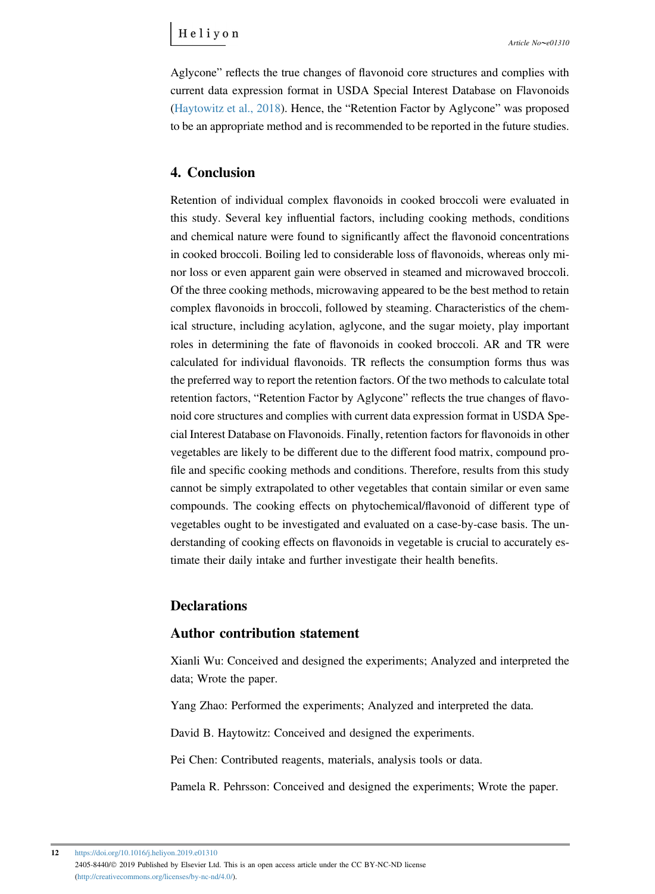Aglycone" reflects the true changes of flavonoid core structures and complies with current data expression format in USDA Special Interest Database on Flavonoids ([Haytowitz et al., 2018](#page-13-0)). Hence, the "Retention Factor by Aglycone" was proposed to be an appropriate method and is recommended to be reported in the future studies.

#### 4. Conclusion

Retention of individual complex flavonoids in cooked broccoli were evaluated in this study. Several key influential factors, including cooking methods, conditions and chemical nature were found to significantly affect the flavonoid concentrations in cooked broccoli. Boiling led to considerable loss of flavonoids, whereas only minor loss or even apparent gain were observed in steamed and microwaved broccoli. Of the three cooking methods, microwaving appeared to be the best method to retain complex flavonoids in broccoli, followed by steaming. Characteristics of the chemical structure, including acylation, aglycone, and the sugar moiety, play important roles in determining the fate of flavonoids in cooked broccoli. AR and TR were calculated for individual flavonoids. TR reflects the consumption forms thus was the preferred way to report the retention factors. Of the two methods to calculate total retention factors, "Retention Factor by Aglycone" reflects the true changes of flavonoid core structures and complies with current data expression format in USDA Special Interest Database on Flavonoids. Finally, retention factors for flavonoids in other vegetables are likely to be different due to the different food matrix, compound profile and specific cooking methods and conditions. Therefore, results from this study cannot be simply extrapolated to other vegetables that contain similar or even same compounds. The cooking effects on phytochemical/flavonoid of different type of vegetables ought to be investigated and evaluated on a case-by-case basis. The understanding of cooking effects on flavonoids in vegetable is crucial to accurately estimate their daily intake and further investigate their health benefits.

#### **Declarations**

#### Author contribution statement

Xianli Wu: Conceived and designed the experiments; Analyzed and interpreted the data; Wrote the paper.

Yang Zhao: Performed the experiments; Analyzed and interpreted the data.

David B. Haytowitz: Conceived and designed the experiments.

Pei Chen: Contributed reagents, materials, analysis tools or data.

Pamela R. Pehrsson: Conceived and designed the experiments; Wrote the paper.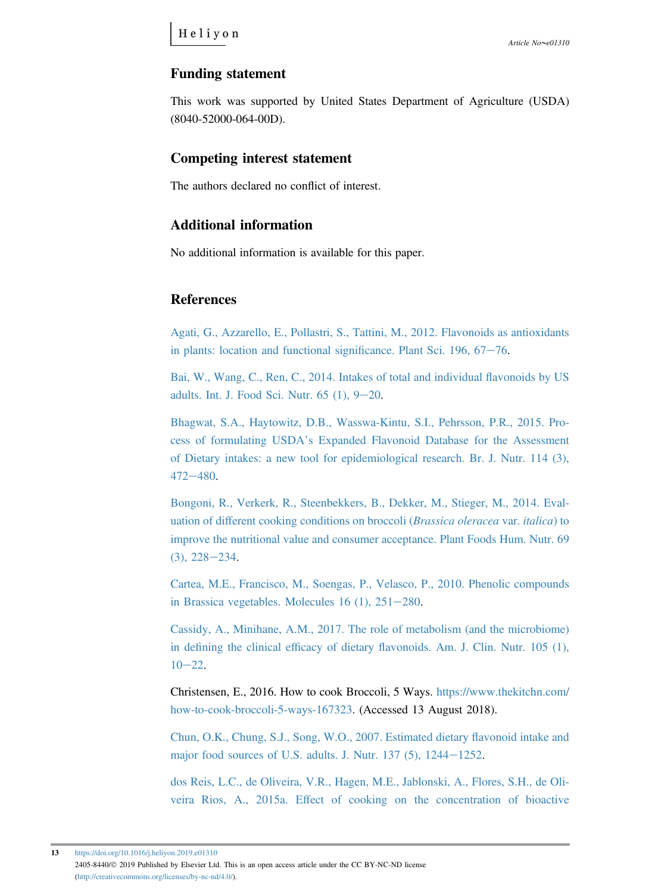## <span id="page-12-0"></span>Funding statement

This work was supported by United States Department of Agriculture (USDA) (8040-52000-064-00D).

## Competing interest statement

The authors declared no conflict of interest.

# Additional information

No additional information is available for this paper.

#### References

[Agati, G., Azzarello, E., Pollastri, S., Tattini, M., 2012. Flavonoids as antioxidants](http://refhub.elsevier.com/S2405-8440(19)30568-7/sref1) [in plants: location and functional signi](http://refhub.elsevier.com/S2405-8440(19)30568-7/sref1)ficance. Plant Sci.  $196, 67-76$ .

[Bai, W., Wang, C., Ren, C., 2014. Intakes of total and individual](http://refhub.elsevier.com/S2405-8440(19)30568-7/sref2) flavonoids by US adults. Int. J. Food Sci. Nutr.  $65$  (1),  $9-20$  $9-20$ .

[Bhagwat, S.A., Haytowitz, D.B., Wasswa-Kintu, S.I., Pehrsson, P.R., 2015. Pro-](http://refhub.elsevier.com/S2405-8440(19)30568-7/sref3)cess of formulating USDA'[s Expanded Flavonoid Database for the Assessment](http://refhub.elsevier.com/S2405-8440(19)30568-7/sref3) [of Dietary intakes: a new tool for epidemiological research. Br. J. Nutr. 114 \(3\),](http://refhub.elsevier.com/S2405-8440(19)30568-7/sref3) [472](http://refhub.elsevier.com/S2405-8440(19)30568-7/sref3)-[480](http://refhub.elsevier.com/S2405-8440(19)30568-7/sref3).

[Bongoni, R., Verkerk, R., Steenbekkers, B., Dekker, M., Stieger, M., 2014. Eval](http://refhub.elsevier.com/S2405-8440(19)30568-7/sref4)uation of diff[erent cooking conditions on broccoli \(](http://refhub.elsevier.com/S2405-8440(19)30568-7/sref4)Brassica oleracea var. italica) to [improve the nutritional value and consumer acceptance. Plant Foods Hum. Nutr. 69](http://refhub.elsevier.com/S2405-8440(19)30568-7/sref4)  $(3), 228 - 234.$  $(3), 228 - 234.$  $(3), 228 - 234.$  $(3), 228 - 234.$ 

[Cartea, M.E., Francisco, M., Soengas, P., Velasco, P., 2010. Phenolic compounds](http://refhub.elsevier.com/S2405-8440(19)30568-7/sref5) in Brassica vegetables. Molecules  $16$  (1),  $251-280$  $251-280$ .

[Cassidy, A., Minihane, A.M., 2017. The role of metabolism \(and the microbiome\)](http://refhub.elsevier.com/S2405-8440(19)30568-7/sref6) in defining the clinical efficacy of dietary fl[avonoids. Am. J. Clin. Nutr. 105 \(1\),](http://refhub.elsevier.com/S2405-8440(19)30568-7/sref6)  $10 - 22$  $10 - 22$  $10 - 22$ .

Christensen, E., 2016. How to cook Broccoli, 5 Ways. [https://www.thekitchn.com/](https://www.thekitchn.com/how-to-cook-broccoli-5-ways-167323) [how-to-cook-broccoli-5-ways-167323.](https://www.thekitchn.com/how-to-cook-broccoli-5-ways-167323) (Accessed 13 August 2018).

[Chun, O.K., Chung, S.J., Song, W.O., 2007. Estimated dietary](http://refhub.elsevier.com/S2405-8440(19)30568-7/sref8) flavonoid intake and major food sources of U.S. adults. J. Nutr.  $137$  (5),  $1244-1252$ .

[dos Reis, L.C., de Oliveira, V.R., Hagen, M.E., Jablonski, A., Flores, S.H., de Oli](http://refhub.elsevier.com/S2405-8440(19)30568-7/sref9)veira Rios, A., 2015a. Eff[ect of cooking on the concentration of bioactive](http://refhub.elsevier.com/S2405-8440(19)30568-7/sref9)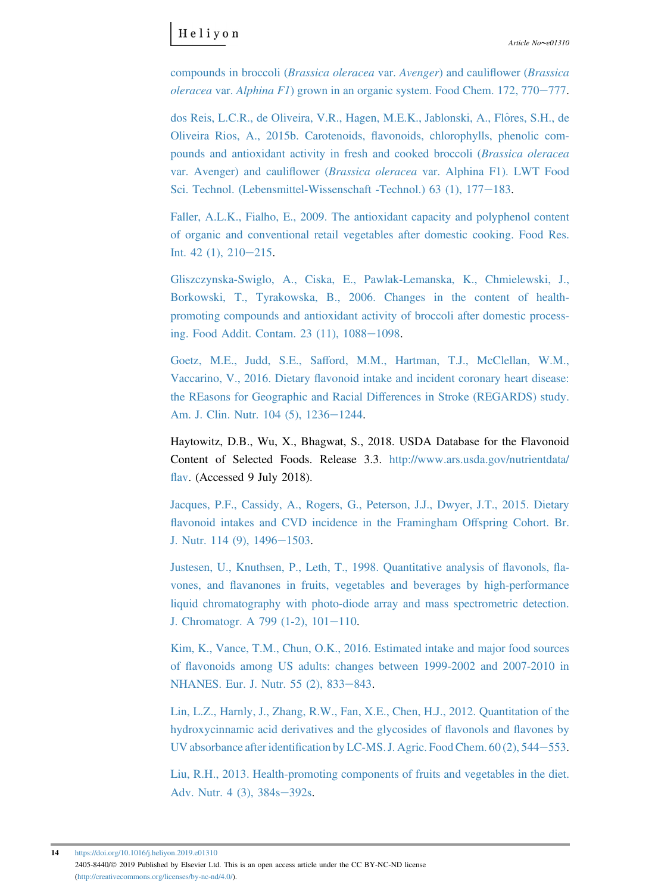<span id="page-13-0"></span>[compounds in broccoli \(](http://refhub.elsevier.com/S2405-8440(19)30568-7/sref9)Brassica oleracea var. Avenger) and cauliflower (Brassica  $oleracea$  var.  $Alphina$   $FI$ [\) grown in an organic system. Food Chem. 172, 770](http://refhub.elsevier.com/S2405-8440(19)30568-7/sref9)–[777.](http://refhub.elsevier.com/S2405-8440(19)30568-7/sref9)

[dos Reis, L.C.R., de Oliveira, V.R., Hagen, M.E.K., Jablonski, A., Fl](http://refhub.elsevier.com/S2405-8440(19)30568-7/sref10)ôres, S.H., de [Oliveira Rios, A., 2015b. Carotenoids,](http://refhub.elsevier.com/S2405-8440(19)30568-7/sref10) flavonoids, chlorophylls, phenolic com[pounds and antioxidant activity in fresh and cooked broccoli \(](http://refhub.elsevier.com/S2405-8440(19)30568-7/sref10)Brassica oleracea var. Avenger) and cauliflower (Brassica oleracea [var. Alphina F1\). LWT Food](http://refhub.elsevier.com/S2405-8440(19)30568-7/sref10) [Sci. Technol. \(Lebensmittel-Wissenschaft -Technol.\) 63 \(1\), 177](http://refhub.elsevier.com/S2405-8440(19)30568-7/sref10)-[183.](http://refhub.elsevier.com/S2405-8440(19)30568-7/sref10)

[Faller, A.L.K., Fialho, E., 2009. The antioxidant capacity and polyphenol content](http://refhub.elsevier.com/S2405-8440(19)30568-7/sref11) [of organic and conventional retail vegetables after domestic cooking. Food Res.](http://refhub.elsevier.com/S2405-8440(19)30568-7/sref11) Int.  $42$  (1),  $210-215$  $210-215$ .

[Gliszczynska-Swiglo, A., Ciska, E., Pawlak-Lemanska, K., Chmielewski, J.,](http://refhub.elsevier.com/S2405-8440(19)30568-7/sref12) [Borkowski, T., Tyrakowska, B., 2006. Changes in the content of health](http://refhub.elsevier.com/S2405-8440(19)30568-7/sref12)[promoting compounds and antioxidant activity of broccoli after domestic process](http://refhub.elsevier.com/S2405-8440(19)30568-7/sref12)ing. Food Addit. Contam.  $23(11)$ ,  $1088-1098$ .

Goetz, M.E., Judd, S.E., Saff[ord, M.M., Hartman, T.J., McClellan, W.M.,](http://refhub.elsevier.com/S2405-8440(19)30568-7/sref13) Vaccarino, V., 2016. Dietary fl[avonoid intake and incident coronary heart disease:](http://refhub.elsevier.com/S2405-8440(19)30568-7/sref13) [the REasons for Geographic and Racial Di](http://refhub.elsevier.com/S2405-8440(19)30568-7/sref13)fferences in Stroke (REGARDS) study. [Am. J. Clin. Nutr. 104 \(5\), 1236](http://refhub.elsevier.com/S2405-8440(19)30568-7/sref13)–[1244.](http://refhub.elsevier.com/S2405-8440(19)30568-7/sref13)

Haytowitz, D.B., Wu, X., Bhagwat, S., 2018. USDA Database for the Flavonoid Content of Selected Foods. Release 3.3. [http://www.ars.usda.gov/nutrientdata/](http://www.ars.usda.gov/nutrientdata/flav) fl[av.](http://www.ars.usda.gov/nutrientdata/flav) (Accessed 9 July 2018).

[Jacques, P.F., Cassidy, A., Rogers, G., Peterson, J.J., Dwyer, J.T., 2015. Dietary](http://refhub.elsevier.com/S2405-8440(19)30568-7/sref38) fl[avonoid intakes and CVD incidence in the Framingham O](http://refhub.elsevier.com/S2405-8440(19)30568-7/sref38)ffspring Cohort. Br. [J. Nutr. 114 \(9\), 1496](http://refhub.elsevier.com/S2405-8440(19)30568-7/sref38)–[1503](http://refhub.elsevier.com/S2405-8440(19)30568-7/sref38).

[Justesen, U., Knuthsen, P., Leth, T., 1998. Quantitative analysis of](http://refhub.elsevier.com/S2405-8440(19)30568-7/sref15) flavonols, flavones, and fl[avanones in fruits, vegetables and beverages by high-performance](http://refhub.elsevier.com/S2405-8440(19)30568-7/sref15) [liquid chromatography with photo-diode array and mass spectrometric detection.](http://refhub.elsevier.com/S2405-8440(19)30568-7/sref15) J. Chromatogr. A 799 (1-2),  $101-110$ .

[Kim, K., Vance, T.M., Chun, O.K., 2016. Estimated intake and major food sources](http://refhub.elsevier.com/S2405-8440(19)30568-7/sref16) of fl[avonoids among US adults: changes between 1999-2002 and 2007-2010 in](http://refhub.elsevier.com/S2405-8440(19)30568-7/sref16) [NHANES. Eur. J. Nutr. 55 \(2\), 833](http://refhub.elsevier.com/S2405-8440(19)30568-7/sref16)-[843](http://refhub.elsevier.com/S2405-8440(19)30568-7/sref16).

[Lin, L.Z., Harnly, J., Zhang, R.W., Fan, X.E., Chen, H.J., 2012. Quantitation of the](http://refhub.elsevier.com/S2405-8440(19)30568-7/sref17) [hydroxycinnamic acid derivatives and the glycosides of](http://refhub.elsevier.com/S2405-8440(19)30568-7/sref17) flavonols and flavones by UV absorbance after identification by LC-MS. J. Agric. Food Chem.  $60(2)$ , 544-[553.](http://refhub.elsevier.com/S2405-8440(19)30568-7/sref17)

[Liu, R.H., 2013. Health-promoting components of fruits and vegetables in the diet.](http://refhub.elsevier.com/S2405-8440(19)30568-7/sref18) [Adv. Nutr. 4 \(3\), 384s](http://refhub.elsevier.com/S2405-8440(19)30568-7/sref18)-[392s](http://refhub.elsevier.com/S2405-8440(19)30568-7/sref18).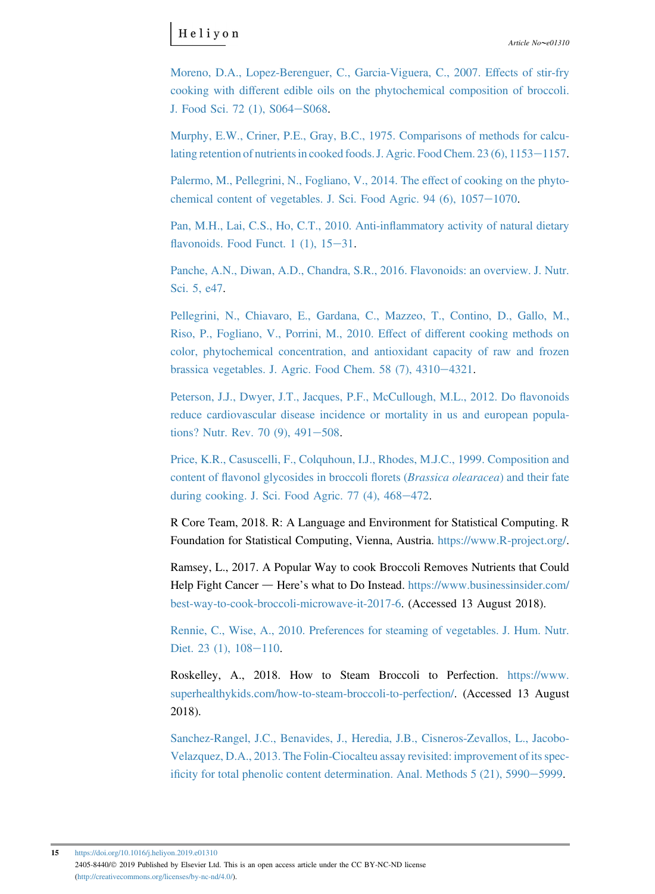<span id="page-14-0"></span>[Moreno, D.A., Lopez-Berenguer, C., Garcia-Viguera, C., 2007. E](http://refhub.elsevier.com/S2405-8440(19)30568-7/sref19)ffects of stir-fry cooking with diff[erent edible oils on the phytochemical composition of broccoli.](http://refhub.elsevier.com/S2405-8440(19)30568-7/sref19) [J. Food Sci. 72 \(1\), S064](http://refhub.elsevier.com/S2405-8440(19)30568-7/sref19)-[S068](http://refhub.elsevier.com/S2405-8440(19)30568-7/sref19).

[Murphy, E.W., Criner, P.E., Gray, B.C., 1975. Comparisons of methods for calcu](http://refhub.elsevier.com/S2405-8440(19)30568-7/sref20)lating retention of nutrients in cooked foods. J. Agric. Food Chem.  $23(6)$ ,  $1153-1157$ .

[Palermo, M., Pellegrini, N., Fogliano, V., 2014. The e](http://refhub.elsevier.com/S2405-8440(19)30568-7/sref21)ffect of cooking on the phytochemical content of vegetables. J. Sci. Food Agric. 94  $(6)$ ,  $1057-1070$  $1057-1070$ .

[Pan, M.H., Lai, C.S., Ho, C.T., 2010. Anti-in](http://refhub.elsevier.com/S2405-8440(19)30568-7/sref22)flammatory activity of natural dietary flavonoids. Food Funct.  $1(1)$ ,  $15-31$  $15-31$ .

[Panche, A.N., Diwan, A.D., Chandra, S.R., 2016. Flavonoids: an overview. J. Nutr.](http://refhub.elsevier.com/S2405-8440(19)30568-7/sref23) [Sci. 5, e47](http://refhub.elsevier.com/S2405-8440(19)30568-7/sref23).

[Pellegrini, N., Chiavaro, E., Gardana, C., Mazzeo, T., Contino, D., Gallo, M.,](http://refhub.elsevier.com/S2405-8440(19)30568-7/sref24) [Riso, P., Fogliano, V., Porrini, M., 2010. E](http://refhub.elsevier.com/S2405-8440(19)30568-7/sref24)ffect of different cooking methods on [color, phytochemical concentration, and antioxidant capacity of raw and frozen](http://refhub.elsevier.com/S2405-8440(19)30568-7/sref24) brassica vegetables. J. Agric. Food Chem. 58  $(7)$ , 4310-[4321](http://refhub.elsevier.com/S2405-8440(19)30568-7/sref24).

[Peterson, J.J., Dwyer, J.T., Jacques, P.F., McCullough, M.L., 2012. Do](http://refhub.elsevier.com/S2405-8440(19)30568-7/sref25) flavonoids [reduce cardiovascular disease incidence or mortality in us and european popula](http://refhub.elsevier.com/S2405-8440(19)30568-7/sref25)[tions? Nutr. Rev. 70 \(9\), 491](http://refhub.elsevier.com/S2405-8440(19)30568-7/sref25)-[508](http://refhub.elsevier.com/S2405-8440(19)30568-7/sref25).

[Price, K.R., Casuscelli, F., Colquhoun, I.J., Rhodes, M.J.C., 1999. Composition and](http://refhub.elsevier.com/S2405-8440(19)30568-7/sref26) content of fl[avonol glycosides in broccoli](http://refhub.elsevier.com/S2405-8440(19)30568-7/sref26) florets (*Brassica olearacea*) and their fate during cooking. J. Sci. Food Agric.  $77$  (4),  $468-472$ .

R Core Team, 2018. R: A Language and Environment for Statistical Computing. R Foundation for Statistical Computing, Vienna, Austria. [https://www.R-project.org/.](https://www.R-project.org/)

Ramsey, L., 2017. A Popular Way to cook Broccoli Removes Nutrients that Could<br>Help Fight Cancer — Here's what to Do Instead. [https://www.businessinsider.com/](https://www.businessinsider.com/best-way-to-cook-broccoli-microwave-it-2017-6) [best-way-to-cook-broccoli-microwave-it-2017-6.](https://www.businessinsider.com/best-way-to-cook-broccoli-microwave-it-2017-6) (Accessed 13 August 2018).

[Rennie, C., Wise, A., 2010. Preferences for steaming of vegetables. J. Hum. Nutr.](http://refhub.elsevier.com/S2405-8440(19)30568-7/sref29) [Diet. 23 \(1\), 108](http://refhub.elsevier.com/S2405-8440(19)30568-7/sref29)-[110](http://refhub.elsevier.com/S2405-8440(19)30568-7/sref29).

Roskelley, A., 2018. How to Steam Broccoli to Perfection. [https://www.](https://www.superhealthykids.com/how-to-steam-broccoli-to-perfection/) [superhealthykids.com/how-to-steam-broccoli-to-perfection/.](https://www.superhealthykids.com/how-to-steam-broccoli-to-perfection/) (Accessed 13 August 2018).

[Sanchez-Rangel, J.C., Benavides, J., Heredia, J.B., Cisneros-Zevallos, L., Jacobo-](http://refhub.elsevier.com/S2405-8440(19)30568-7/sref31)[Velazquez, D.A., 2013. The Folin-Ciocalteu assay revisited: improvement of its spec](http://refhub.elsevier.com/S2405-8440(19)30568-7/sref31)ificity for total phenolic content determination. Anal. Methods  $5(21)$ ,  $5990-5999$ .